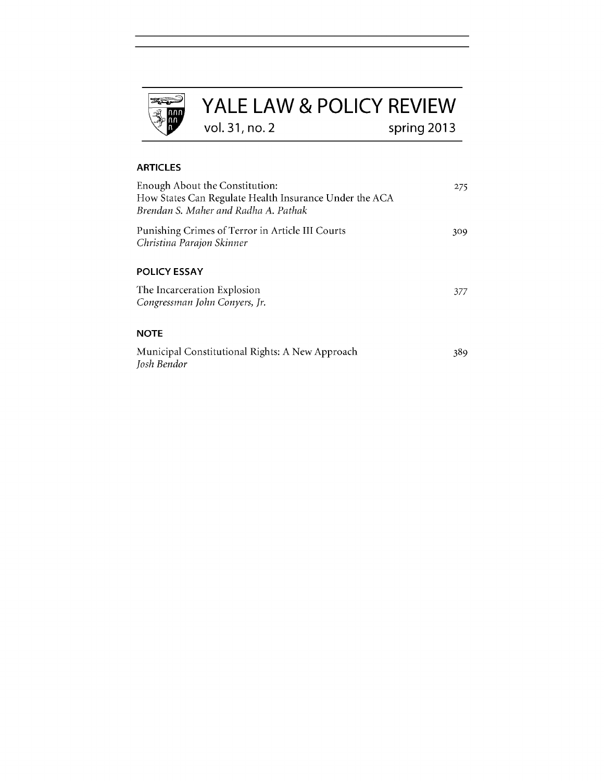

# **ARTICLES**

| Enough About the Constitution:<br>How States Can Regulate Health Insurance Under the ACA<br>Brendan S. Maher and Radha A. Pathak | 275 |
|----------------------------------------------------------------------------------------------------------------------------------|-----|
| Punishing Crimes of Terror in Article III Courts<br>Christina Parajon Skinner                                                    | 309 |
| <b>POLICY ESSAY</b>                                                                                                              |     |
| The Incarceration Explosion<br>Congressman John Conyers, Jr.                                                                     | 377 |
| <b>NOTE</b>                                                                                                                      |     |
| Municipal Constitutional Rights: A New Approach<br>Josh Bendor                                                                   | 389 |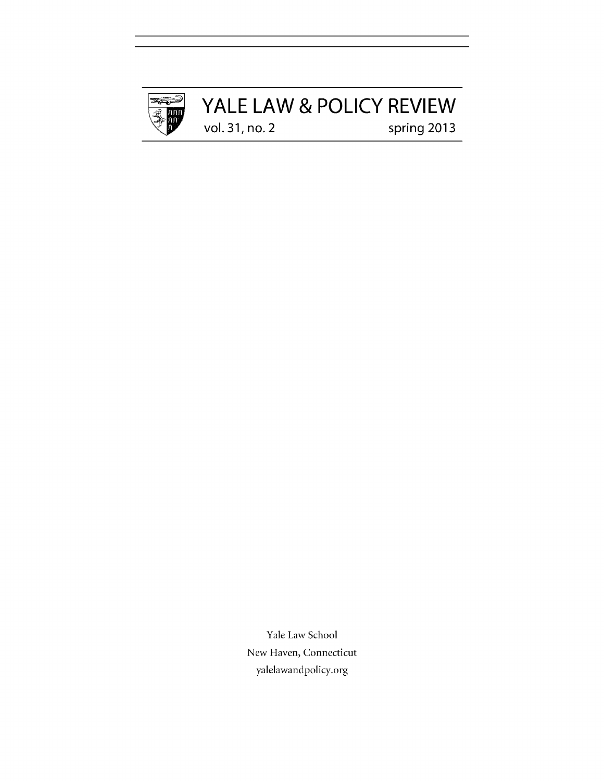

# YALE LAW & POLICY REVIEW<br>vol. 31, no. 2<br>spring 2013 vol. 31, no. 2

Yale Law School New Haven, Connecticut yalelawandpolicy.org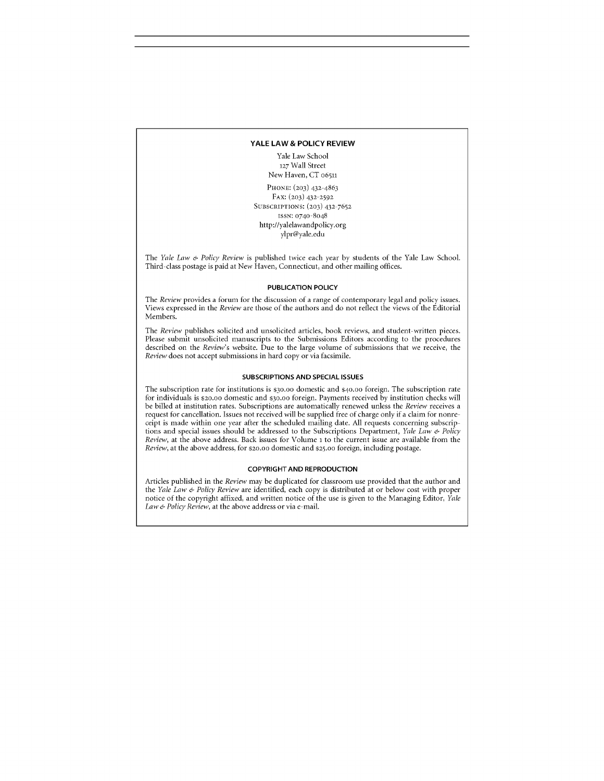#### **YALE LAW & POLICY REVIEW**

Yale Law School **127** Wall Street New Haven, **CT** 06511

**PHONE: (203)** 432-4863 FAX: **(203)** 432-2592 SUBSCRIPTIONS: **(203) 432-7652** ISSN: 0740-8048 http://yalelawandpolicy.org ylpr@yale.edu

*The Yale Law & Policy Review* is published twice each year **by** students of the Yale Law School. Third-class postage is paid at New Haven, Connecticut, and other mailing offices.

### **PUBLICATION POLICY**

*The Review* provides a forum for the discussion of a range of contemporary legal and policy issues. Views expressed in the *Review* are those of the authors and do not reflect the views of the Editorial Members.

*The Review* publishes solicited and unsolicited articles, book reviews, and student-written pieces. Please submit unsolicited manuscripts to the Submissions Editors according to the procedures described on the *Review's* website. Due to the large volume of submissions that we receive, the *Review* does not accept submissions in hard copy or via facsimile.

#### **SUBSCRIPTIONS AND SPECIAL ISSUES**

The subscription rate for institutions is \$30.oo domestic and \$40.00 foreign. The subscription rate for individuals is \$20.oo domestic and **\$30.00** foreign. Payments received **by** institution checks will be billed at institution rates. Subscriptions are automatically renewed unless the *Review* receives a request for cancellation. Issues not received will be supplied free of charge only if a claim for nonreceipt is made within one year after the scheduled mailing date. **All** requests concerning subscriptions and special issues should be addressed to the Subscriptions Department, *Yale Law & Policy Review,* at the above address. Back issues for Volume **1** to the current issue are available from the *Review,* at the above address, for \$20.oo domestic and **\$25.00** foreign, including postage.

#### **COPYRIGHT AND REPRODUCTION**

Articles published in the *Review* may be duplicated for classroom use provided that the author and *the Yale Law & Policy Review* are identified, each copy is distributed at or below cost with proper notice of the copyright affixed, and written notice of the use is given to the Managing Editor, *Yale Law & Policy Review,* at the above address or via e-mail.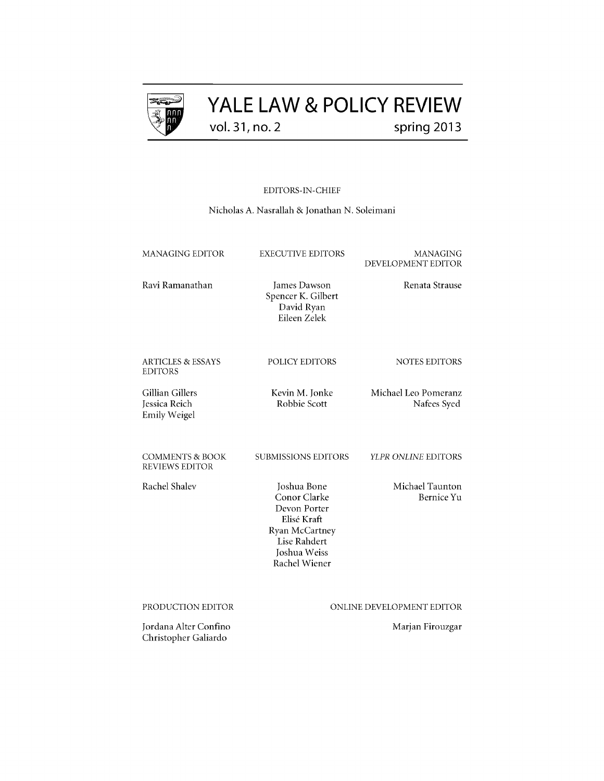

# **YALE LAW & POLICY REVIEW** vol. **31,** no. 2 spring **2013**

**EDITORS-IN-CHIEF**

Nicholas **A.** Nasrallah **&** Jonathan **N.** Soleimani

| <b>MANAGING EDITOR</b>                                  | <b>EXECUTIVE EDITORS</b>                                                                                                      | MANAGING<br>DEVELOPMENT EDITOR      |
|---------------------------------------------------------|-------------------------------------------------------------------------------------------------------------------------------|-------------------------------------|
| Ravi Ramanathan                                         | James Dawson<br>Spencer K. Gilbert<br>David Ryan<br>Eileen Zelek                                                              | Renata Strause                      |
| <b>ARTICLES &amp; ESSAYS</b><br><b>EDITORS</b>          | POLICY EDITORS                                                                                                                | <b>NOTES EDITORS</b>                |
| Gillian Gillers<br>Jessica Reich<br><b>Emily Weigel</b> | Kevin M. Jonke<br>Robbie Scott                                                                                                | Michael Leo Pomeranz<br>Nafees Syed |
| <b>COMMENTS &amp; BOOK</b><br><b>REVIEWS EDITOR</b>     | <b>SUBMISSIONS EDITORS</b>                                                                                                    | YLPR ONLINE EDITORS                 |
| Rachel Shalev                                           | Joshua Bone<br>Conor Clarke<br>Devon Porter<br>Elisé Kraft<br>Ryan McCartney<br>Lise Rahdert<br>Joshua Weiss<br>Rachel Wiener | Michael Taunton<br>Bernice Yu       |
| PRODUCTION EDITOR                                       |                                                                                                                               | ONLINE DEVELOPMENT EDITOR           |
| Jordana Alter Confino<br>Christopher Galiardo           |                                                                                                                               | Marjan Firouzgar                    |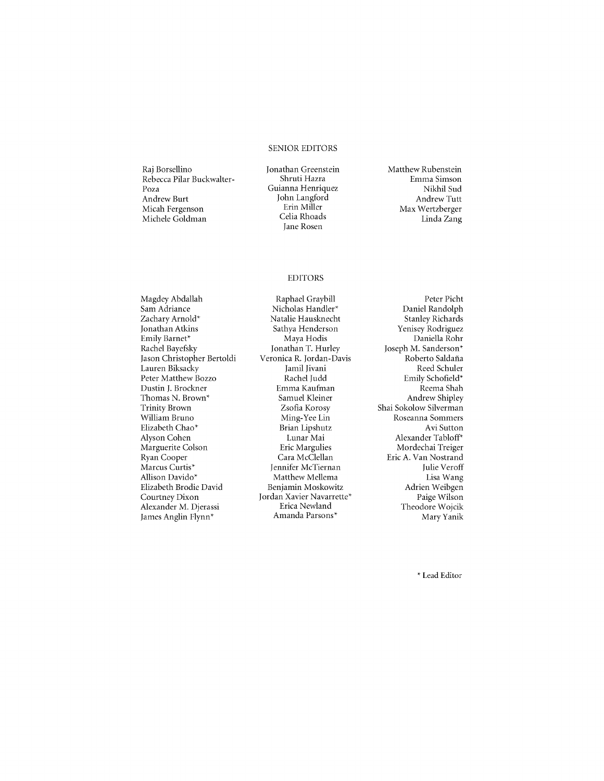### **SENIOR** EDITORS

Raj Borsellino Rebecca Pilar Buckwalter-Poza Andrew Burt Micah Fergenson Michele Goldman

Jonathan Greenstein Shruti Hazra Guianna Henriquez John Langford Erin Miller Celia Rhoads Jane Rosen

Matthew Rubenstein Emma Simson Nikhil Sud Andrew Tutt Max Wertzberger Linda Zang

# EDITORS

Magdey Abdallah Sam Adriance Zachary Arnold\* Jonathan Atkins Emily Barnet\* Rachel Bayefsky Jason Christopher Bertoldi Lauren Biksacky Peter Matthew Bozzo Dustin **J.** Brockner Thomas **N.** Brown\* Trinity Brown William Bruno Elizabeth Chao\* Alyson Cohen Marguerite Colson Ryan Cooper Marcus Curtis\* Allison Davido\* Elizabeth Brodie David Courtney Dixon Alexander M. Djerassi James Anglin Flynn\*

Raphael Graybill Nicholas Handler\* Natalie Hausknecht Sathya Henderson Maya Hodis Jonathan T. Hurley Veronica R. Jordan-Davis Jamil Jivani Rachel Judd Emma Kaufman Samuel Kleiner Zsofia Korosy Ming-Yee Lin Brian Lipshutz Lunar Mai Eric Margulies Cara McClellan Jennifer McTiernan Matthew Mellema Benjamin Moskowitz Jordan Xavier Navarrette\* Erica Newland Amanda Parsons\*

Peter Picht Daniel Randolph Stanley Richards Yenisey Rodriguez Daniella Rohr Joseph M. Sanderson\* Roberto Saldaña Reed Schuler Emily Schofield\* Reema Shah Andrew **Shipley** Shai Sokolow Silverman Roseanna Sommers Avi Sutton Alexander Tabloff\* Mordechai Treiger Eric **A.** Van Nostrand Julie Veroff Lisa Wang Adrien Weibgen Paige Wilson Theodore Wojcik Mary Yanik

**\*** Lead Editor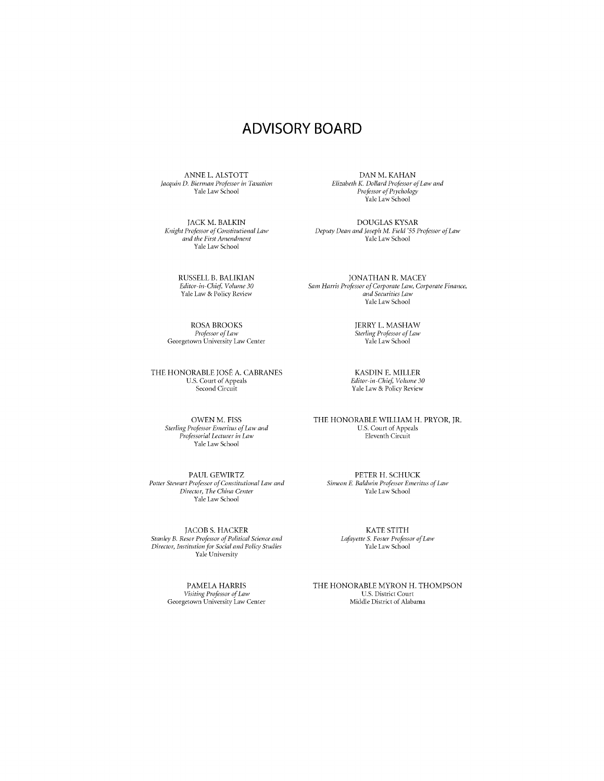# ADVISORY BOARD

**ANNE** L. **ALSTOTT** *Jacquin D. Biernan Professor in Taxation* Yale Law School

JACK M. BALKIN *Knight Professor of Constitutional Law and the First Amendment* Yale Law School

> **RUSSELL** B. BALIKIAN *Editor-in-Chief Volume 30* Yale Law **&** Policy Review

ROSA BROOKS *Professor ofLaw* Georgetown University Law Center

THE HONORABLE JOSE **A. CABRANES U.S.** Court of Appeals Second Circuit

> **OWEN** M. **FISS** *Sterling Profes or Emeritus of Law and Professorial Lecturer in Law* Yale Law School

**PAUL** GEWIRTZ *Potter Stewart Professor of Constitutional Law and Director, The China Center* Yale Law School

**JACOB S.** HACKER *Stanley B. Resor Professor of Political Science and Director, Institution for Social and Policy Studies* Yale University

> **PAMELA** HARRIS *Visiting Professor of Law* Georgetown University Law Center

**DAN** M. **KAHAN** *Elizabeth K. Dollard Professor ofLaw and Professor ofPsychology* Yale Law School

**DOUGLAS** KYSAR *Deputy Dean and Joseph M. Field '55 Professor ofLaw* Yale Law School

**JONATHAN** R. MACEY *Sam Harris Professor of Corporate Law, Corporate Finance, and Securities Law* Yale Law School

> JERRY L. MASHAW *Sterling Professor ofLaw* Yale Law School

**KASDIN E.** MILLER *Editor-in-Chief Volume 30* Yale Law **&** Policy Review

THE HONORABLE WILLIAM H. PRYOR, JR. **U.S.** Court of Appeals Eleventh Circuit

PETER H. **SCHUCK** *Simeon E Baldwin Professor Emeritus of Law* Yale Law School

> KATE STITH *Lafayette S. Foster Professor ofLaw* Yale Law School

THE HONORABLE MYRON H. **THOMPSON U.S.** District Court Middle District of Alabama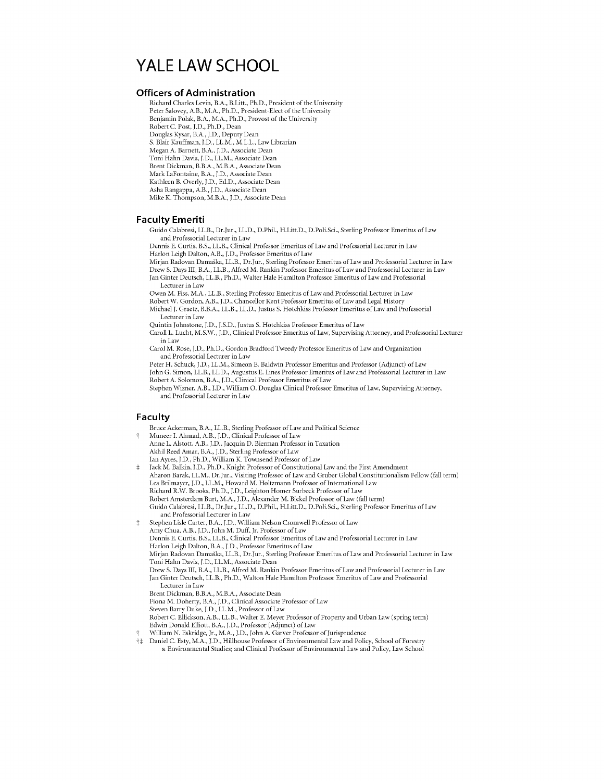# **YALE LAW SCHOOL**

# **Officers of Administration**

Richard Charles Levin, B.A., B.Litt., Ph.D., President of the University Peter Salovey, A.B., M.A., Ph.D., President-Elect of the University Benjamin Polak, B.A., M.A., Ph.D., Provost of the University Robert **C.** Post, **J.D.,** Ph.D., Dean Douglas Kysar, B.A., **J.D.,** Deputy Dean **S.** Blair Kauffman, **J.D.,** LL.M., M.L.L., Law Librarian Megan **A.** Barnett, B.A., **J.D.,** Associate Dean Toni Hahn Davis, **J.D.,** LL.M., Associate Dean Brent Dickman, B.B.A., M.B.A., Associate Dean Mark LaFontaine, B.A., **J.D.,** Associate Dean Kathleen B. Overly, **J.D., Ed.D.,** Associate Dean Asha Rangappa, A.B., **J.D.,** Associate Dean

### Mike K. Thompson, M.B.A., **J.D.,** Associate Dean

### **Faculty Emeriti**

Guido Calabresi, LL.B., Dr.Jur., LL.D., D.Phil., H.Litt.D., D.Poli.Sci., Sterling Professor Emeritus of Law and Professorial Lecturer in Law

Dennis **E.** Curtis, B.S., LL.B., Clinical Professor Emeritus of Law and Professorial Lecturer in Law Harlon Leigh Dalton, A.B., **J.D.,** Professor Emeritus of Law

- Mirjan Radovan Damaska, LL.B., Dr.Jur., Sterling Professor Emeritus of Law and Professorial Lecturer in Law
- Drew **S.** Days III, B.A., LL.B., Alfred M. Rankin Professor Emeritus of Law and Professorial Lecturer in Law Jan Ginter Deutsch, LL.B., Ph.D., Walter Hale Hamilton Professor Emeritus of Law and Professorial

Lecturer in Law

Owen M. Fiss, M.A., LL.B., Sterling Professor Emeritus of Law and Professorial Lecturer in Law

Robert W. Gordon, A.B., **J.D.,** Chancellor Kent Professor Emeritus of Law and Legal History

Michael **J.** Graetz, B.B.A., LL.B., LL.D., Justus **S.** Hotchkiss Professor Emeritus of Law and Professorial Lecturer in Law

Quintin Johnstone, **J.D., J.S.D.,** Justus **S.** Hotchkiss Professor Emeritus of Law

Caroll L. Lucht, M.S.W., **J.D.,** Clinical Professor Emeritus of Law, Supervising Attorney, and Professorial Lecturer in Law

Carol M. Rose, **J.D.,** Ph.D., Gordon Bradford Tweedy Professor Emeritus of Law and Organization and Professorial Lecturer in Law

Peter H. Schuck, **J.D.,** LL.M., Simeon **E.** Baldwin Professor Emeritus and Professor (Adjunct) of Law John **G.** Simon, LL.B., LL.D., Augustus **E.** Lines Professor Emeritus of Law and Professorial Lecturer in Law

Robert **A.** Solomon, B.A., **J.D.,** Clinical Professor Emeritus of Law Stephen Wizner, A.B., **J.D.,** William **0.** Douglas Clinical Professor Emeritus of Law, Supervising Attorney, and Professorial Lecturer in Law

### **Faculty**

Bruce Ackerman, B.A., LL.B., Sterling Professor of Law and Political Science t Muneer I. Ahmad, A.B., **J.D.,** Clinical Professor of Law Anne L. Alstott, A.B., **J.D.,** Jacquin **D.** Bierman Professor in Taxation Akhil Reed Amar, B.A., **J.D.,** Sterling Professor of Law Ian Ayres, **J.D.,** Ph.D., William K. Townsend Professor of Law t Jack M. Balkin, **J.D.,** Ph.D., Knight Professor of Constitutional Law and the First Amendment Aharon Barak, LL.M., Dr.Jur., Visiting Professor of Law and Gruber Global Constitutionalism Fellow (fall term) Lea Brilmayer, **J.D.,** LL.M., Howard M. Holtzmann Professor of International Law Richard R.W. Brooks, Ph.D., **J.D.,** Leighton Homer Surbeck Professor of Law Robert Amsterdam Burt, M.A., **J.D.,** Alexander M. Bickel Professor of Law (fall term) Guido Calabresi, LL.B., Dr.Jur., LL.D., D.Phil., H.Litt.D., D.Poli.Sci., Sterling Professor Emeritus of Law and Professorial Lecturer in Law t Stephen Lisle Carter, B.A., **J.D.,** William Nelson Cromwell Professor of Law Amy Chua, A.B., **J.D.,** John M. Duff, Jr. Professor of Law Dennis **E.** Curtis, B.S., LL.B., Clinical Professor Emeritus of Law and Professorial Lecturer in Law Harlon Leigh Dalton, B.A., **J.D.,** Professor Emeritus of Law Mirjan Radovan Damaska, LL.B., Dr.Jur., Sterling Professor Emeritus of Law and Professorial Lecturer in Law Toni Hahn Davis, **J.D.,** LL.M., Associate Dean Drew **S.** Days III, B.A., LL.B., Alfred M. Rankin Professor Emeritus of Law and Professorial Lecturer in Law Jan Ginter Deutsch, LL.B., Ph.D., Walton Hale Hamilton Professor Emeritus of Law and Professorial Lecturer in Law Brent Dickman, B.B.A., M.B.A., Associate Dean Fiona M. Doherty, B.A., **J.D.,** Clinical Associate Professor of Law Steven Barry Duke, **J.D.,** LL.M., Professor of Law Robert **C.** Ellickson, A.B., LL.B., Walter **E.** Meyer Professor of Property and Urban Law (spring term) Edwin Donald Elliott, B.A., **J.D.,** Professor (Adjunct) of Law t William **N.** Eskridge, Jr., M.A., **J.D.,** John **A.** Garver Professor of Jurisprudence f Daniel **C.** Esty, M.A., **J.D.,** Hillhouse Professor of Environmental Law and Policy, School of Forestry **&** Environmental Studies; and Clinical Professor of Environmental Law and Policy, Law School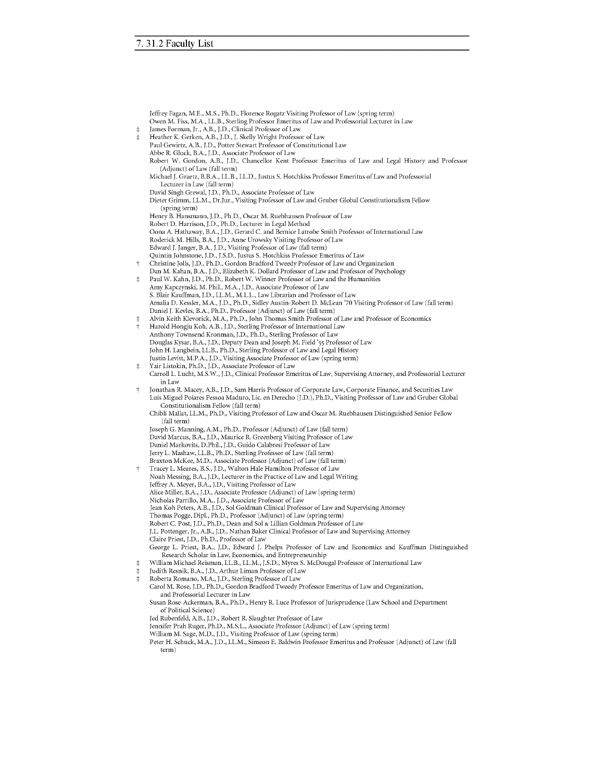| ŧ<br>$\ddagger$ | Jeffrey Fagan, M.E., M.S., Ph.D., Florence Rogatz Visiting Professor of Law (spring term)<br>Owen M. Fiss, M.A., LL.B., Sterling Professor Emeritus of Law and Professorial Lecturer in Law<br>James Forman, Jr., A.B., J.D., Clinical Professor of Law<br>Heather K. Gerken, A.B., J.D., J. Skelly Wright Professor of Law<br>Paul Gewirtz, A.B., J.D., Potter Stewart Professor of Constitutional Law |
|-----------------|---------------------------------------------------------------------------------------------------------------------------------------------------------------------------------------------------------------------------------------------------------------------------------------------------------------------------------------------------------------------------------------------------------|
|                 | Abbe R. Gluck, B.A., J.D., Associate Professor of Law<br>Robert W. Gordon, A.B., J.D., Chancellor Kent Professor Emeritus of Law and Legal History and Professor                                                                                                                                                                                                                                        |
|                 | (Adjunct) of Law (fall term)                                                                                                                                                                                                                                                                                                                                                                            |
|                 | Michael J. Graetz, B.B.A., LL.B., LL.D., Justus S. Hotchkiss Professor Emeritus of Law and Professorial<br>Lecturer in Law (fall term)                                                                                                                                                                                                                                                                  |
|                 | David Singh Grewal, J.D., Ph.D., Associate Professor of Law<br>Dieter Grimm, LL.M., Dr.Jur., Visiting Professor of Law and Gruber Global Constitutionalism Fellow                                                                                                                                                                                                                                       |
|                 | (spring term)                                                                                                                                                                                                                                                                                                                                                                                           |
|                 | Henry B. Hansmann, J.D., Ph.D., Oscar M. Ruebhausen Professor of Law<br>Robert D. Harrison, J.D., Ph.D., Lecturer in Legal Method                                                                                                                                                                                                                                                                       |
|                 | Oona A. Hathaway, B.A., J.D., Gerard C. and Bernice Latrobe Smith Professor of International Law                                                                                                                                                                                                                                                                                                        |
|                 | Roderick M. Hills, B.A., J.D., Anne Urowsky Visiting Professor of Law<br>Edward J. Janger, B.A., J.D., Visiting Professor of Law (fall term)                                                                                                                                                                                                                                                            |
|                 | Quintin Johnstone, J.D., J.S.D., Justus S. Hotchkiss Professor Emeritus of Law                                                                                                                                                                                                                                                                                                                          |
| Ť               | Christine Jolls, J.D., Ph.D., Gordon Bradford Tweedy Professor of Law and Organization                                                                                                                                                                                                                                                                                                                  |
| ŧ               | Dan M. Kahan, B.A., J.D., Elizabeth K. Dollard Professor of Law and Professor of Psychology<br>Paul W. Kahn, J.D., Ph.D., Robert W. Winner Professor of Law and the Humanities                                                                                                                                                                                                                          |
|                 | Amy Kapczynski, M. Phil., M.A., J.D., Associate Professor of Law                                                                                                                                                                                                                                                                                                                                        |
|                 | S. Blair Kauffman, J.D., LL.M., M.L.L., Law Librarian and Professor of Law                                                                                                                                                                                                                                                                                                                              |
|                 | Amalia D. Kessler, M.A., J.D., Ph.D., Sidley Austin-Robert D. McLean '70 Visiting Professor of Law (fall term)                                                                                                                                                                                                                                                                                          |
|                 | Daniel J. Kevles, B.A., Ph.D., Professor (Adjunct) of Law (fall term)                                                                                                                                                                                                                                                                                                                                   |
| ŧ<br>$\dagger$  | Alvin Keith Klevorick, M.A., Ph.D., John Thomas Smith Professor of Law and Professor of Economics<br>Harold Hongju Koh, A.B., J.D., Sterling Professor of International Law                                                                                                                                                                                                                             |
|                 | Anthony Townsend Kronman, J.D., Ph.D., Sterling Professor of Law                                                                                                                                                                                                                                                                                                                                        |
|                 | Douglas Kysar, B.A., J.D., Deputy Dean and Joseph M. Field '55 Professor of Law                                                                                                                                                                                                                                                                                                                         |
|                 | John H. Langbein, LL.B., Ph.D., Sterling Professor of Law and Legal History                                                                                                                                                                                                                                                                                                                             |
|                 | Justin Levitt, M.P.A., J.D., Visiting Associate Professor of Law (spring term)                                                                                                                                                                                                                                                                                                                          |
| ŧ               | Yair Listokin, Ph.D., J.D., Associate Professor of Law<br>Carroll L. Lucht, M.S.W., J.D., Clinical Professor Emeritus of Law, Supervising Attorney, and Professorial Lecturer<br>in Law                                                                                                                                                                                                                 |
| Ť               | Jonathan R. Macey, A.B., J.D., Sam Harris Professor of Corporate Law, Corporate Finance, and Securities Law                                                                                                                                                                                                                                                                                             |
|                 | Luís Miguel Poiares Pessoa Maduro, Lic. en Derecho (J.D.), Ph.D., Visiting Professor of Law and Gruber Global<br>Constitutionalism Fellow (fall term)                                                                                                                                                                                                                                                   |
|                 | Chibli Mallat, LL.M., Ph.D., Visiting Professor of Law and Oscar M. Ruebhausen Distinguished Senior Fellow                                                                                                                                                                                                                                                                                              |
|                 | (fall term)                                                                                                                                                                                                                                                                                                                                                                                             |
|                 | Joseph G. Manning, A.M., Ph.D., Professor (Adjunct) of Law (fall term)                                                                                                                                                                                                                                                                                                                                  |
|                 | David Marcus, B.A., J.D., Maurice R. Greenberg Visiting Professor of Law<br>Daniel Markovits, D.Phil., J.D., Guido Calabresi Professor of Law                                                                                                                                                                                                                                                           |
|                 | Jerry L. Mashaw, LL.B., Ph.D., Sterling Professor of Law (fall term)                                                                                                                                                                                                                                                                                                                                    |
|                 | Braxton McKee, M.D., Associate Professor (Adjunct) of Law (fall term)                                                                                                                                                                                                                                                                                                                                   |
| Ť               | Tracey L. Meares, B.S., J.D., Walton Hale Hamilton Professor of Law                                                                                                                                                                                                                                                                                                                                     |
|                 | Noah Messing, B.A., J.D., Lecturer in the Practice of Law and Legal Writing                                                                                                                                                                                                                                                                                                                             |
|                 | Jeffrey A. Meyer, B.A., J.D., Visiting Professor of Law<br>Alice Miller, B.A., J.D., Associate Professor (Adjunct) of Law (spring term)                                                                                                                                                                                                                                                                 |
|                 | Nicholas Parrillo, M.A., J.D., Associate Professor of Law                                                                                                                                                                                                                                                                                                                                               |
|                 | Jean Koh Peters, A.B., J.D., Sol Goldman Clinical Professor of Law and Supervising Attorney                                                                                                                                                                                                                                                                                                             |
|                 | Thomas Pogge, Dipl., Ph.D., Professor (Adjunct) of Law (spring term)                                                                                                                                                                                                                                                                                                                                    |
|                 | Robert C. Post, J.D., Ph.D., Dean and Sol & Lillian Goldman Professor of Law<br>J.L. Pottenger, Jr., A.B., J.D., Nathan Baker Clinical Professor of Law and Supervising Attorney                                                                                                                                                                                                                        |
|                 | Claire Priest, J.D., Ph.D., Professor of Law                                                                                                                                                                                                                                                                                                                                                            |
|                 | George L. Priest, B.A., J.D., Edward J. Phelps Professor of Law and Economics and Kauffman Distinguished                                                                                                                                                                                                                                                                                                |
|                 | Research Scholar in Law, Economics, and Entrepreneurship                                                                                                                                                                                                                                                                                                                                                |
| ŧ               | William Michael Reisman, LL.B., LL.M., J.S.D., Myres S. McDougal Professor of International Law                                                                                                                                                                                                                                                                                                         |
| $\ddagger$<br>ŧ | Judith Resnik, B.A., J.D., Arthur Liman Professor of Law<br>Roberta Romano, M.A., J.D., Sterling Professor of Law                                                                                                                                                                                                                                                                                       |
|                 | Carol M. Rose, J.D., Ph.D., Gordon Bradford Tweedy Professor Emeritus of Law and Organization,                                                                                                                                                                                                                                                                                                          |
|                 | and Professorial Lecturer in Law                                                                                                                                                                                                                                                                                                                                                                        |
|                 | Susan Rose-Ackerman, B.A., Ph.D., Henry R. Luce Professor of Jurisprudence (Law School and Department                                                                                                                                                                                                                                                                                                   |
|                 | of Political Science)                                                                                                                                                                                                                                                                                                                                                                                   |
|                 | Jed Rubenfeld, A.B., J.D., Robert R. Slaughter Professor of Law<br>Jennifer Prah Ruger, Ph.D., M.S.L., Associate Professor (Adjunct) of Law (spring term)                                                                                                                                                                                                                                               |
|                 | William M. Sage, M.D., J.D., Visiting Professor of Law (spring term)                                                                                                                                                                                                                                                                                                                                    |

Peter H. Schuck, M.A., **J.D.,** LL.M., Simeon **E.** Baldwin Professor Emeritus and Professor (Adjunct) of Law (fall term)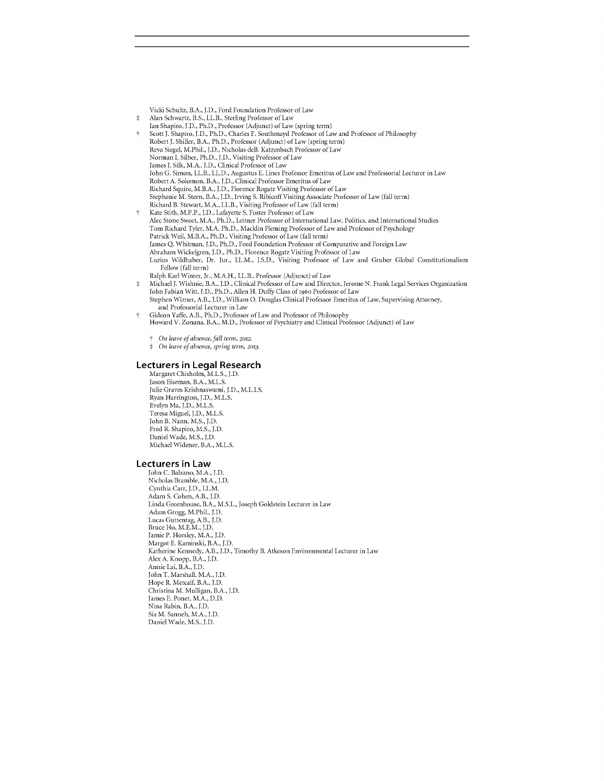Vicki Schultz, B.A., **J.D.,** Ford Foundation Professor of Law **\*** Alan Schwartz, B.S., LL.B., Sterling Professor of Law Ian Shapiro, **J.D.,** Ph.D., Professor (Adjunct) of Law (spring term) *t* Scott *J.* Shapiro, **J.D.,** Ph.D., Charles F. Southmayd Professor of Law and Professor of Philosophy Robert J. Shiller, B.A., Ph.D., Professor (Adjunct) of Law (spring term) Reva Siegel, M.Phil., **J.D.,** Nicholas deB. Katzenbach Professor of Law Norman I. Silber, Ph.D., **J.D.,** Visiting Professor of Law James *J.* Silk, M.A., **J.D.,** Clinical Professor of Law John **G.** Simon, LL.B., LL.D., Augustus **E.** Lines Professor Emeritus of Law and Professorial Lecturer in Law Robert **A.** Solomon, B.A., **J.D.,** Clinical Professor Emeritus of Law Richard Squire, M.B.A., **J.D.,** Florence Rogatz Visiting Professor of Law Stephanie M. Stern, B.A., **J.D.,** Irving **S.** Ribicoff Visiting Associate Professor of Law (fall term) Richard B. Stewart, M.A., LL.B., Visiting Professor of Law (fall term) *t* Kate Stith, M.P.P., **J.D.,** Lafayette **S.** Foster Professor of Law Alec Stone Sweet, M.A., Ph.D., Leitner Professor of International Law, Politics, and International Studies Tom Richard Tyler, M.A. Ph.D., Macklin Fleming Professor of Law and Professor of Psychology Patrick Weil, M.B.A., Ph.D., Visiting Professor of Law (fall term) James **Q.** Whitman, **J.D.,** Ph.D., Ford Foundation Professor of Comparative and Foreign Law Abraham Wickelgren, **J.D.,** Ph.D., Florence Rogatz Visiting Professor of Law Luzius Wildhaber, Dr. Jur., LL.M., **J.S.D.,** Visiting Professor of Law and Gruber Global Constitutionalism Fellow (fall term) Ralph Karl Winter, Jr., M.A.H., LL.B., Professor (Adjunct) of Law

**\*** Michael *J.* Wishnie, B.A., **J.D.,** Clinical Professor of Law and Director, Jerome **N.** Frank Legal Services Organization John Fabian Witt, **J.D.,** Ph.D., Allen H. Duffy Class of 1960 Professor of Law Stephen Wizner, A.B., **J.D.,** William **0.** Douglas Clinical Professor Emeritus of Law, Supervising Attorney, and Professorial Lecturer in Law

Gideon Yaffe, A.B., Ph.D., Professor of Law and Professor of Philosophy Howard V. Zonana, B.A., M.D., Professor of Psychiatry and Clinical Professor (Adjunct) of Law

*On leave of absence, fall term, 2012.* 

*\* On leave ofabsence, spring term,* **2013.**

### **Lecturers in Legal Research**

Margaret Chisholm, **M.L.S., J.D.** Jason Eiseman, B.A., **M.L.S.** Julie Graves Krishnaswami, **J.D.,** M.L.I.S. Ryan Harrington, **J.D., M.L.S.** Evelyn Ma, **J.D., M.L.S.** Teresa Miguel, **J.D., M.L.S.** John B. Nann, **M.S., J.D.** Fred R. Shapiro, **M.S., J.D.** Daniel Wade, **M.S., J.D.** Michael Widener, B.A., **M.L.S.**

### **Lecturers in Law**

John **C.** Balzano, M.A., **J.D.** Nicholas Bramble, M.A., **J.D.** Cynthia Carr, **J.D.,** LL.M. Adam **S.** Cohen, A.B., **J.D.** Linda Greenhouse, B.A., **M.S.L.,** Joseph Goldstein Lecturer in Law Adam Grogg, M.Phil., **J.D.** Lucas Guttentag, A.B., **J.D.** Bruce Ho, M.E.M., **J.D.** Jamie P. Horsley, M.A., **J.D.** Margot **E.** Kaminski, B.A., **J.D.** Katherine Kennedy, A.B., **J.D.,** Timothy B. Atkeson Environmental Lecturer in Law Alex **A.** Knopp, B.A., **J.D.** Annie Lai, B.A., **J.D.** John T. Marshall, M.A., **J.D.** Hope R. Metcalf, B.A., **J.D.** Christina M. Mulligan, B.A., **J.D.** James **E.** Ponet, M.A., **D.D.** Nina Rabin, B.A., **J.D.** Sia M. Sanneh, M.A., **J.D.** Daniel Wade, **M.S., J.D.**